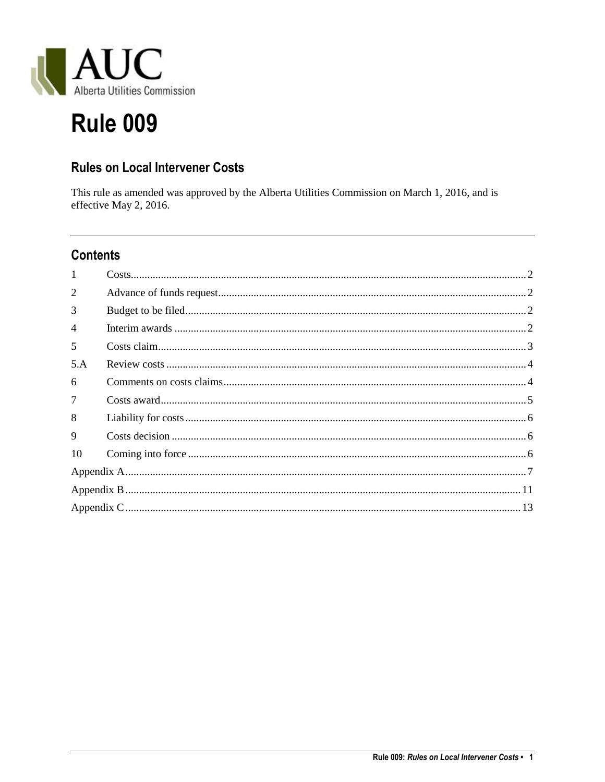

# **Rule 009**

## **Rules on Local Intervener Costs**

This rule as amended was approved by the Alberta Utilities Commission on March 1, 2016, and is effective May 2, 2016.

# **Contents**

| $\mathbf{1}$   |  |  |  |
|----------------|--|--|--|
| $\overline{2}$ |  |  |  |
| 3              |  |  |  |
| $\overline{4}$ |  |  |  |
| 5              |  |  |  |
| 5.A            |  |  |  |
| 6              |  |  |  |
| 7              |  |  |  |
| 8              |  |  |  |
| 9              |  |  |  |
| 10             |  |  |  |
|                |  |  |  |
|                |  |  |  |
|                |  |  |  |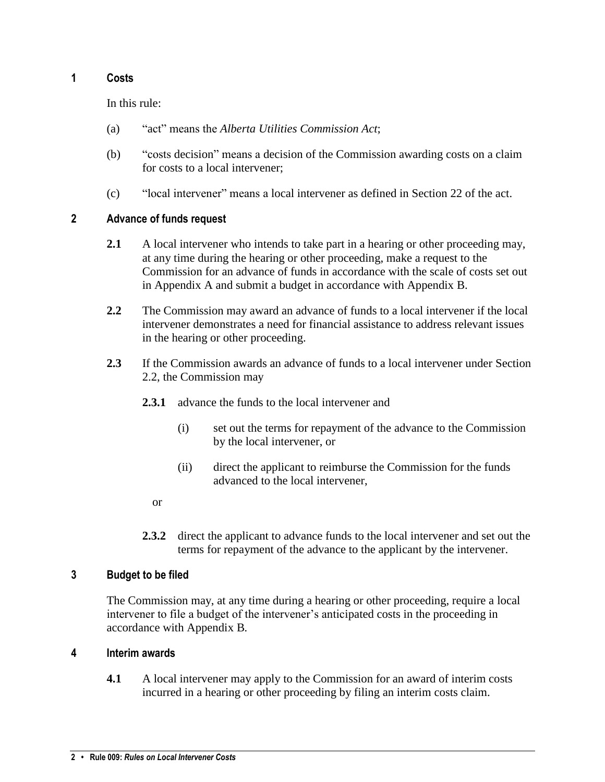## <span id="page-1-0"></span>**1 Costs**

In this rule:

- (a) "act" means the *Alberta Utilities Commission Act*;
- (b) "costs decision" means a decision of the Commission awarding costs on a claim for costs to a local intervener;
- (c) "local intervener" means a local intervener as defined in Section 22 of the act.

## <span id="page-1-1"></span>**2 Advance of funds request**

- **2.1** A local intervener who intends to take part in a hearing or other proceeding may, at any time during the hearing or other proceeding, make a request to the Commission for an advance of funds in accordance with the scale of costs set out in Appendix A and submit a budget in accordance with Appendix B.
- **2.2** The Commission may award an advance of funds to a local intervener if the local intervener demonstrates a need for financial assistance to address relevant issues in the hearing or other proceeding.
- **2.3** If the Commission awards an advance of funds to a local intervener under Section 2.2, the Commission may
	- **2.3.1** advance the funds to the local intervener and
		- (i) set out the terms for repayment of the advance to the Commission by the local intervener, or
		- (ii) direct the applicant to reimburse the Commission for the funds advanced to the local intervener,
		- or
	- **2.3.2** direct the applicant to advance funds to the local intervener and set out the terms for repayment of the advance to the applicant by the intervener.

## <span id="page-1-2"></span>**3 Budget to be filed**

The Commission may, at any time during a hearing or other proceeding, require a local intervener to file a budget of the intervener's anticipated costs in the proceeding in accordance with Appendix B*.*

## <span id="page-1-3"></span>**4 Interim awards**

**4.1** A local intervener may apply to the Commission for an award of interim costs incurred in a hearing or other proceeding by filing an interim costs claim.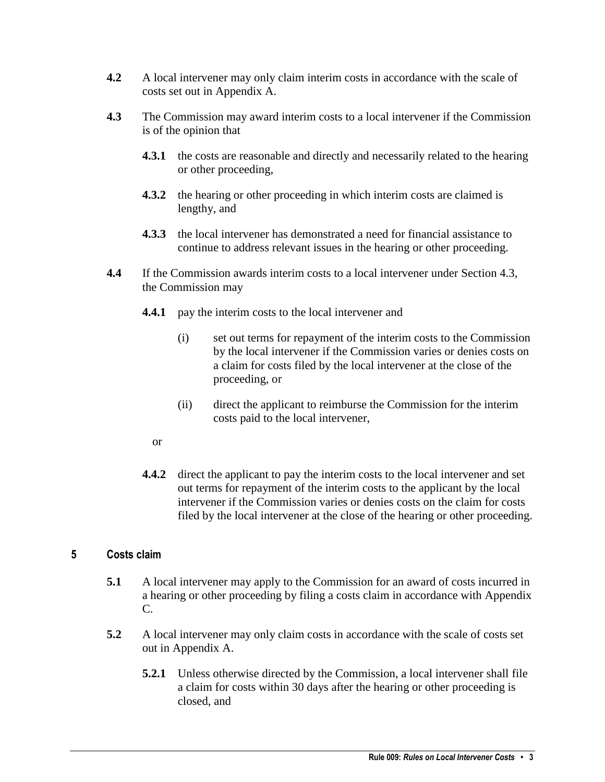- **4.2** A local intervener may only claim interim costs in accordance with the scale of costs set out in Appendix A.
- **4.3** The Commission may award interim costs to a local intervener if the Commission is of the opinion that
	- **4.3.1** the costs are reasonable and directly and necessarily related to the hearing or other proceeding,
	- **4.3.2** the hearing or other proceeding in which interim costs are claimed is lengthy, and
	- **4.3.3** the local intervener has demonstrated a need for financial assistance to continue to address relevant issues in the hearing or other proceeding.
- **4.4** If the Commission awards interim costs to a local intervener under Section 4.3, the Commission may
	- **4.4.1** pay the interim costs to the local intervener and
		- (i) set out terms for repayment of the interim costs to the Commission by the local intervener if the Commission varies or denies costs on a claim for costs filed by the local intervener at the close of the proceeding, or
		- (ii) direct the applicant to reimburse the Commission for the interim costs paid to the local intervener,
		- or
	- **4.4.2** direct the applicant to pay the interim costs to the local intervener and set out terms for repayment of the interim costs to the applicant by the local intervener if the Commission varies or denies costs on the claim for costs filed by the local intervener at the close of the hearing or other proceeding.

## <span id="page-2-0"></span>**5 Costs claim**

- **5.1** A local intervener may apply to the Commission for an award of costs incurred in a hearing or other proceeding by filing a costs claim in accordance with Appendix C.
- **5.2** A local intervener may only claim costs in accordance with the scale of costs set out in Appendix A.
	- **5.2.1** Unless otherwise directed by the Commission, a local intervener shall file a claim for costs within 30 days after the hearing or other proceeding is closed, and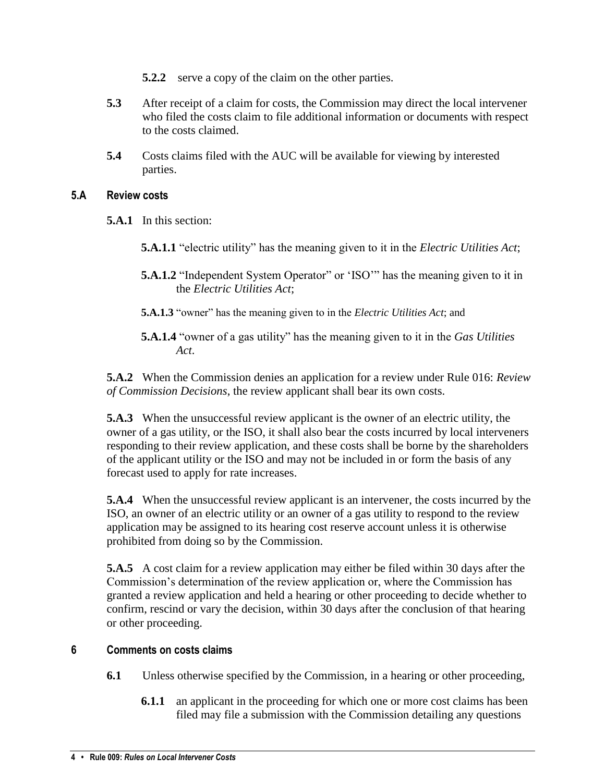- **5.2.2** serve a copy of the claim on the other parties.
- **5.3** After receipt of a claim for costs, the Commission may direct the local intervener who filed the costs claim to file additional information or documents with respect to the costs claimed.
- **5.4** Costs claims filed with the AUC will be available for viewing by interested parties.

## <span id="page-3-0"></span>**5.A Review costs**

- **5.A.1** In this section:
	- **5.A.1.1** "electric utility" has the meaning given to it in the *Electric Utilities Act*;
	- **5.A.1.2** "Independent System Operator" or 'ISO'" has the meaning given to it in the *Electric Utilities Act*;
	- **5.A.1.3** "owner" has the meaning given to in the *Electric Utilities Act*; and
	- **5.A.1.4** "owner of a gas utility" has the meaning given to it in the *Gas Utilities Act*.

**5.A.2** When the Commission denies an application for a review under Rule 016: *Review of Commission Decisions*, the review applicant shall bear its own costs.

**5.A.3** When the unsuccessful review applicant is the owner of an electric utility, the owner of a gas utility, or the ISO, it shall also bear the costs incurred by local interveners responding to their review application, and these costs shall be borne by the shareholders of the applicant utility or the ISO and may not be included in or form the basis of any forecast used to apply for rate increases.

**5.A.4** When the unsuccessful review applicant is an intervener, the costs incurred by the ISO, an owner of an electric utility or an owner of a gas utility to respond to the review application may be assigned to its hearing cost reserve account unless it is otherwise prohibited from doing so by the Commission.

**5.A.5** A cost claim for a review application may either be filed within 30 days after the Commission's determination of the review application or, where the Commission has granted a review application and held a hearing or other proceeding to decide whether to confirm, rescind or vary the decision, within 30 days after the conclusion of that hearing or other proceeding.

## <span id="page-3-1"></span>**6 Comments on costs claims**

- **6.1** Unless otherwise specified by the Commission, in a hearing or other proceeding,
	- **6.1.1** an applicant in the proceeding for which one or more cost claims has been filed may file a submission with the Commission detailing any questions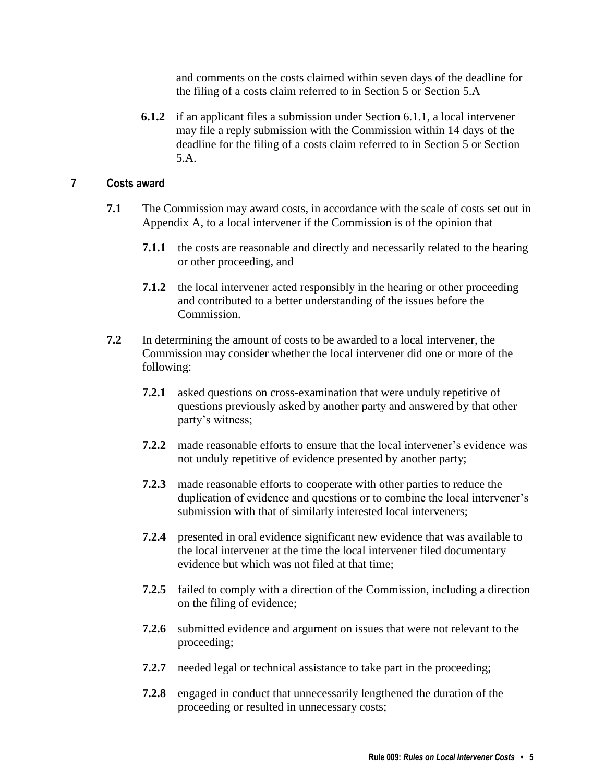and comments on the costs claimed within seven days of the deadline for the filing of a costs claim referred to in Section 5 or Section 5.A

**6.1.2** if an applicant files a submission under Section 6.1.1, a local intervener may file a reply submission with the Commission within 14 days of the deadline for the filing of a costs claim referred to in Section 5 or Section 5.A.

#### <span id="page-4-0"></span>**7 Costs award**

- **7.1** The Commission may award costs, in accordance with the scale of costs set out in Appendix A, to a local intervener if the Commission is of the opinion that
	- **7.1.1** the costs are reasonable and directly and necessarily related to the hearing or other proceeding, and
	- **7.1.2** the local intervener acted responsibly in the hearing or other proceeding and contributed to a better understanding of the issues before the Commission.
- **7.2** In determining the amount of costs to be awarded to a local intervener, the Commission may consider whether the local intervener did one or more of the following:
	- **7.2.1** asked questions on cross-examination that were unduly repetitive of questions previously asked by another party and answered by that other party's witness;
	- **7.2.2** made reasonable efforts to ensure that the local intervener's evidence was not unduly repetitive of evidence presented by another party;
	- **7.2.3** made reasonable efforts to cooperate with other parties to reduce the duplication of evidence and questions or to combine the local intervener's submission with that of similarly interested local interveners;
	- **7.2.4** presented in oral evidence significant new evidence that was available to the local intervener at the time the local intervener filed documentary evidence but which was not filed at that time;
	- **7.2.5** failed to comply with a direction of the Commission, including a direction on the filing of evidence;
	- **7.2.6** submitted evidence and argument on issues that were not relevant to the proceeding;
	- **7.2.7** needed legal or technical assistance to take part in the proceeding;
	- **7.2.8** engaged in conduct that unnecessarily lengthened the duration of the proceeding or resulted in unnecessary costs;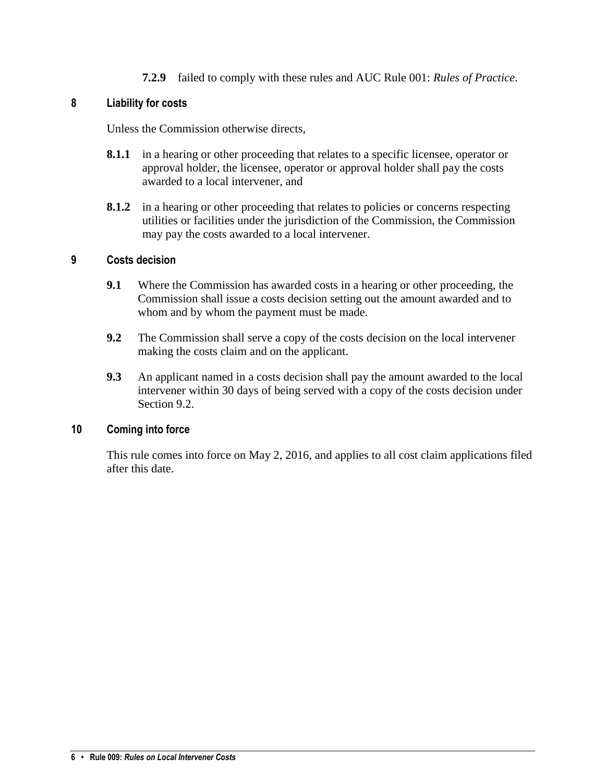**7.2.9** failed to comply with these rules and AUC Rule 001: *Rules of Practice*.

#### <span id="page-5-0"></span>**8 Liability for costs**

Unless the Commission otherwise directs,

- **8.1.1** in a hearing or other proceeding that relates to a specific licensee, operator or approval holder, the licensee, operator or approval holder shall pay the costs awarded to a local intervener, and
- **8.1.2** in a hearing or other proceeding that relates to policies or concerns respecting utilities or facilities under the jurisdiction of the Commission, the Commission may pay the costs awarded to a local intervener.

#### <span id="page-5-1"></span>**9 Costs decision**

- **9.1** Where the Commission has awarded costs in a hearing or other proceeding, the Commission shall issue a costs decision setting out the amount awarded and to whom and by whom the payment must be made.
- **9.2** The Commission shall serve a copy of the costs decision on the local intervener making the costs claim and on the applicant.
- **9.3** An applicant named in a costs decision shall pay the amount awarded to the local intervener within 30 days of being served with a copy of the costs decision under Section 9.2.

## <span id="page-5-2"></span>**10 Coming into force**

This rule comes into force on May 2, 2016, and applies to all cost claim applications filed after this date.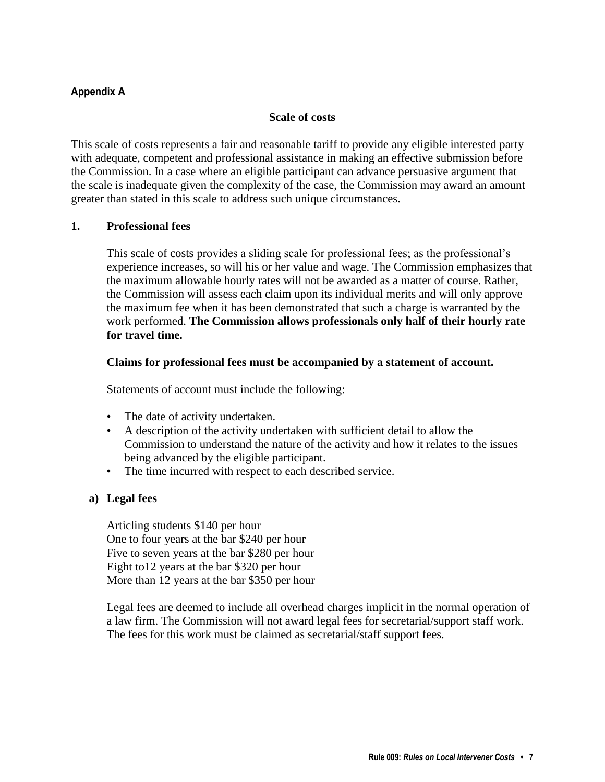## <span id="page-6-0"></span>**Appendix A**

#### **Scale of costs**

This scale of costs represents a fair and reasonable tariff to provide any eligible interested party with adequate, competent and professional assistance in making an effective submission before the Commission. In a case where an eligible participant can advance persuasive argument that the scale is inadequate given the complexity of the case, the Commission may award an amount greater than stated in this scale to address such unique circumstances.

#### **1. Professional fees**

This scale of costs provides a sliding scale for professional fees; as the professional's experience increases, so will his or her value and wage. The Commission emphasizes that the maximum allowable hourly rates will not be awarded as a matter of course. Rather, the Commission will assess each claim upon its individual merits and will only approve the maximum fee when it has been demonstrated that such a charge is warranted by the work performed. **The Commission allows professionals only half of their hourly rate for travel time.**

#### **Claims for professional fees must be accompanied by a statement of account.**

Statements of account must include the following:

- The date of activity undertaken.
- A description of the activity undertaken with sufficient detail to allow the Commission to understand the nature of the activity and how it relates to the issues being advanced by the eligible participant.
- The time incurred with respect to each described service.

#### **a) Legal fees**

Articling students \$140 per hour One to four years at the bar \$240 per hour Five to seven years at the bar \$280 per hour Eight to12 years at the bar \$320 per hour More than 12 years at the bar \$350 per hour

Legal fees are deemed to include all overhead charges implicit in the normal operation of a law firm. The Commission will not award legal fees for secretarial/support staff work. The fees for this work must be claimed as secretarial/staff support fees.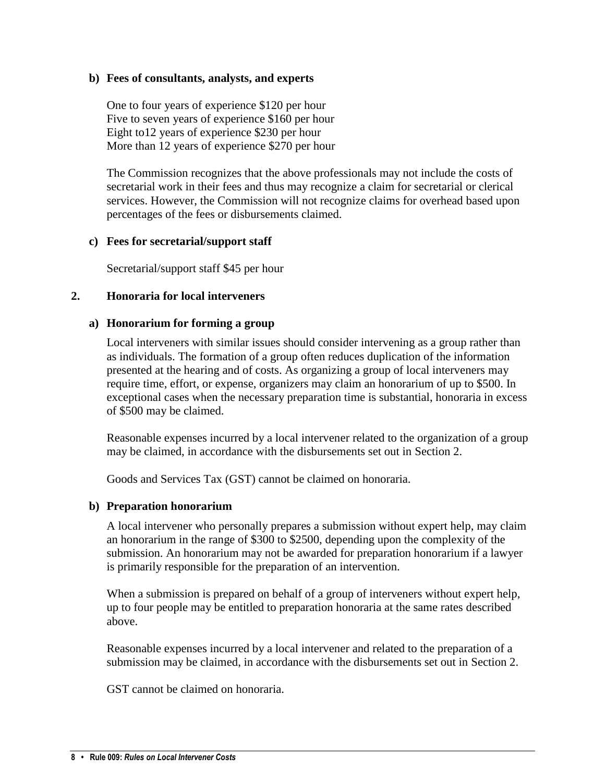#### **b) Fees of consultants, analysts, and experts**

One to four years of experience \$120 per hour Five to seven years of experience \$160 per hour Eight to12 years of experience \$230 per hour More than 12 years of experience \$270 per hour

The Commission recognizes that the above professionals may not include the costs of secretarial work in their fees and thus may recognize a claim for secretarial or clerical services. However, the Commission will not recognize claims for overhead based upon percentages of the fees or disbursements claimed.

#### **c) Fees for secretarial/support staff**

Secretarial/support staff \$45 per hour

#### **2. Honoraria for local interveners**

#### **a) Honorarium for forming a group**

Local interveners with similar issues should consider intervening as a group rather than as individuals. The formation of a group often reduces duplication of the information presented at the hearing and of costs. As organizing a group of local interveners may require time, effort, or expense, organizers may claim an honorarium of up to \$500. In exceptional cases when the necessary preparation time is substantial, honoraria in excess of \$500 may be claimed.

Reasonable expenses incurred by a local intervener related to the organization of a group may be claimed, in accordance with the disbursements set out in Section 2.

Goods and Services Tax (GST) cannot be claimed on honoraria.

#### **b) Preparation honorarium**

A local intervener who personally prepares a submission without expert help, may claim an honorarium in the range of \$300 to \$2500, depending upon the complexity of the submission. An honorarium may not be awarded for preparation honorarium if a lawyer is primarily responsible for the preparation of an intervention.

When a submission is prepared on behalf of a group of interveners without expert help, up to four people may be entitled to preparation honoraria at the same rates described above.

Reasonable expenses incurred by a local intervener and related to the preparation of a submission may be claimed, in accordance with the disbursements set out in Section 2.

GST cannot be claimed on honoraria.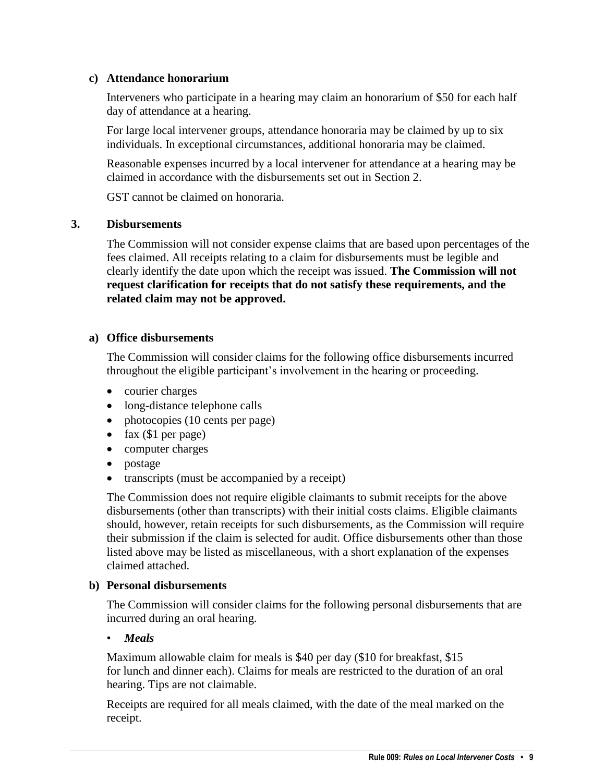#### **c) Attendance honorarium**

Interveners who participate in a hearing may claim an honorarium of \$50 for each half day of attendance at a hearing.

For large local intervener groups, attendance honoraria may be claimed by up to six individuals. In exceptional circumstances, additional honoraria may be claimed.

Reasonable expenses incurred by a local intervener for attendance at a hearing may be claimed in accordance with the disbursements set out in Section 2.

GST cannot be claimed on honoraria.

#### **3. Disbursements**

The Commission will not consider expense claims that are based upon percentages of the fees claimed. All receipts relating to a claim for disbursements must be legible and clearly identify the date upon which the receipt was issued. **The Commission will not request clarification for receipts that do not satisfy these requirements, and the related claim may not be approved.**

#### **a) Office disbursements**

The Commission will consider claims for the following office disbursements incurred throughout the eligible participant's involvement in the hearing or proceeding.

- courier charges
- long-distance telephone calls
- photocopies (10 cents per page)
- $\bullet$  fax (\$1 per page)
- computer charges
- postage
- transcripts (must be accompanied by a receipt)

The Commission does not require eligible claimants to submit receipts for the above disbursements (other than transcripts) with their initial costs claims. Eligible claimants should, however, retain receipts for such disbursements, as the Commission will require their submission if the claim is selected for audit. Office disbursements other than those listed above may be listed as miscellaneous, with a short explanation of the expenses claimed attached.

#### **b) Personal disbursements**

The Commission will consider claims for the following personal disbursements that are incurred during an oral hearing.

#### • *Meals*

Maximum allowable claim for meals is \$40 per day (\$10 for breakfast, \$15 for lunch and dinner each). Claims for meals are restricted to the duration of an oral hearing. Tips are not claimable.

Receipts are required for all meals claimed, with the date of the meal marked on the receipt.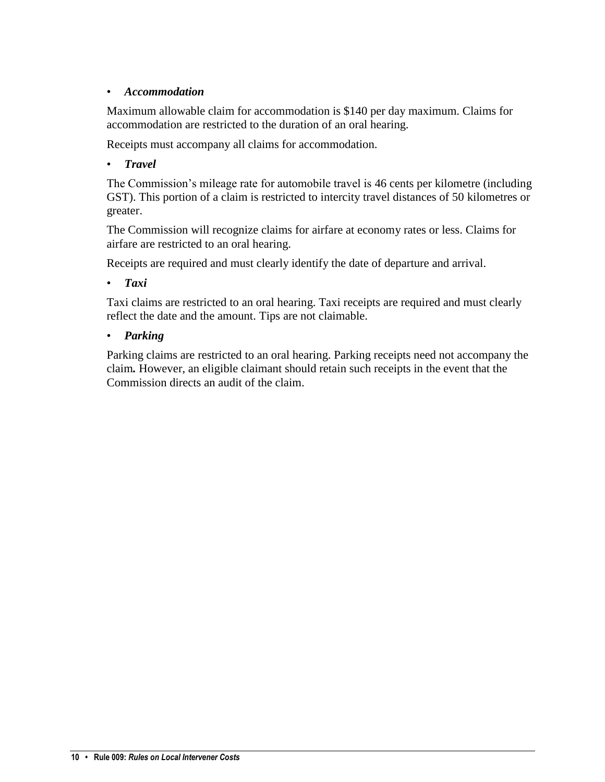## • *Accommodation*

Maximum allowable claim for accommodation is \$140 per day maximum. Claims for accommodation are restricted to the duration of an oral hearing.

Receipts must accompany all claims for accommodation.

## • *Travel*

The Commission's mileage rate for automobile travel is 46 cents per kilometre (including GST). This portion of a claim is restricted to intercity travel distances of 50 kilometres or greater.

The Commission will recognize claims for airfare at economy rates or less. Claims for airfare are restricted to an oral hearing.

Receipts are required and must clearly identify the date of departure and arrival.

• *Taxi*

Taxi claims are restricted to an oral hearing. Taxi receipts are required and must clearly reflect the date and the amount. Tips are not claimable.

## • *Parking*

Parking claims are restricted to an oral hearing. Parking receipts need not accompany the claim*.* However, an eligible claimant should retain such receipts in the event that the Commission directs an audit of the claim.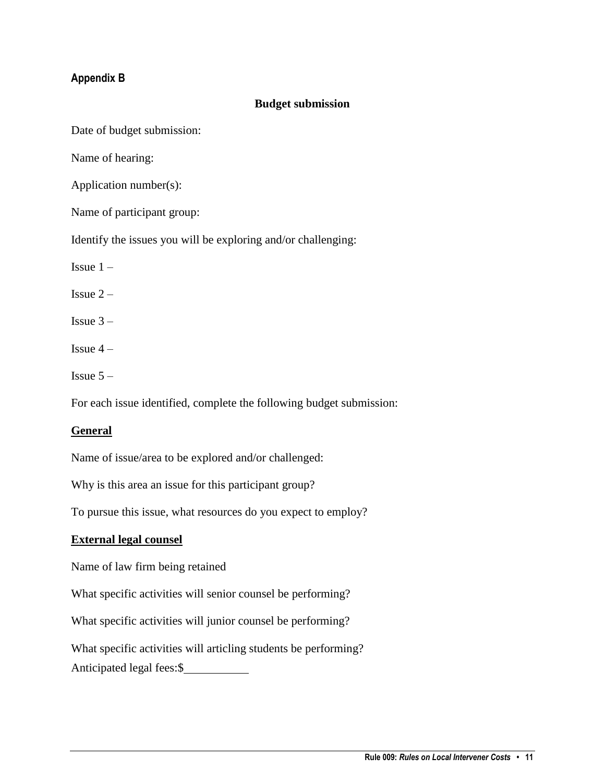## <span id="page-10-0"></span>**Appendix B**

#### **Budget submission**

Date of budget submission:

Name of hearing:

Application number(s):

Name of participant group:

Identify the issues you will be exploring and/or challenging:

Issue  $1 -$ 

Issue  $2 -$ 

Issue  $3 -$ 

Issue  $4-$ 

Issue  $5 -$ 

For each issue identified, complete the following budget submission:

#### **General**

Name of issue/area to be explored and/or challenged:

Why is this area an issue for this participant group?

To pursue this issue, what resources do you expect to employ?

#### **External legal counsel**

Name of law firm being retained

What specific activities will senior counsel be performing?

What specific activities will junior counsel be performing?

What specific activities will articling students be performing?

Anticipated legal fees:\$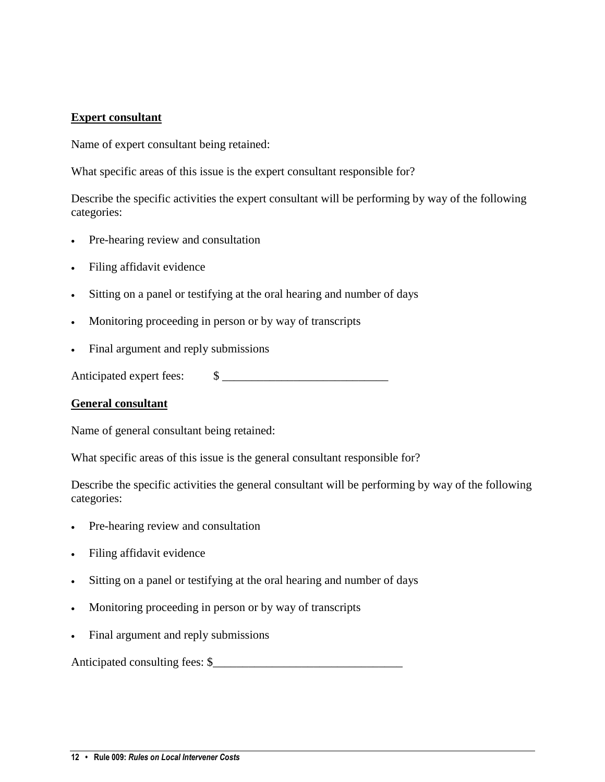#### **Expert consultant**

Name of expert consultant being retained:

What specific areas of this issue is the expert consultant responsible for?

Describe the specific activities the expert consultant will be performing by way of the following categories:

- Pre-hearing review and consultation
- Filing affidavit evidence
- Sitting on a panel or testifying at the oral hearing and number of days
- Monitoring proceeding in person or by way of transcripts
- Final argument and reply submissions

Anticipated expert fees:  $\qquad$  \[\epsilon 1]

#### **General consultant**

Name of general consultant being retained:

What specific areas of this issue is the general consultant responsible for?

Describe the specific activities the general consultant will be performing by way of the following categories:

- Pre-hearing review and consultation
- Filing affidavit evidence
- Sitting on a panel or testifying at the oral hearing and number of days
- Monitoring proceeding in person or by way of transcripts
- Final argument and reply submissions

Anticipated consulting fees: \$\_\_\_\_\_\_\_\_\_\_\_\_\_\_\_\_\_\_\_\_\_\_\_\_\_\_\_\_\_\_\_\_